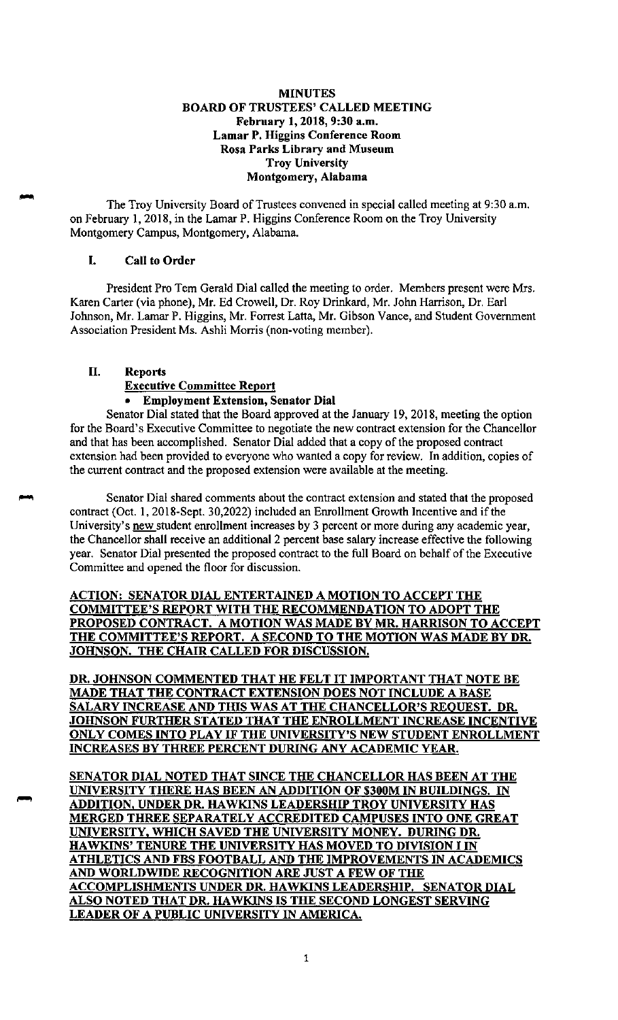## **MINUTES BOARD OF TRUSTEES' CALLED MEETING February 1, 2018, 9:30 a.m. Lamar P. Higgins Conference Room Rosa Parks Library and Museum Troy University Montgomery, Alabama**

The Troy University Board of Trustees convened in special called meeting at 9:30 a.m. on February 1, 2018, in the Lamar P. Higgins Conference Room on the Troy University Montgomery Campus, Montgomery, Alabama.

## I. **Call to Order**

President Pro Tern Gerald Dial called the meeting to order. Members present were Mrs. Karen Carter (via phone), Mr. Ed Crowell, Dr. Roy Drinkard, Mr. John Harrison, Dr. Earl Johnson, Mr. Lamar P. Higgins, Mr. Forrest Latta, Mr. Gibson Vance, and Student Government Association President Ms. Ashli Morris (non-voting member).

## II. **Reports**

#### **Executive Committee Report**

# • **Employment Extension, Senator Dial**

Senator Dial stated that the Board approved at the January 19, 2018, meeting the option for the Board's Executive Committee to negotiate the new contract extension for the Chancellor and that has been accomplished. Senator Dial added that a copy of the proposed contract extension had been provided to everyone who wanted a copy for review. In addition, copies of the current contract and the proposed extension were available at the meeting.

Senator Dial shared comments about the contract extension and stated that the proposed contract (Oct. 1, 2018-Sept. 30,2022) included an Enrollment Growth Incentive and if the University's new student enrollment increases by 3 percent or more during any academic year, the Chancellor shall receive an additional 2 percent base salary increase effective the following year. Senator Dial presented the proposed contract to the full Board on behalf of the Executive Committee and opened the floor for discussion.

# **ACTION: SENATOR DIAL ENTERTAINED A MOTION TO ACCEPT THE COMMITTEE'S REPORT WITH THE RECOMMENDATION TO ADOPT THE PROPOSED CONTRACT. A MOTION WAS MADE BY MR. HARRISON TO ACCEPT THE COMMITTEE'S REPORT. A SECOND TO THE MOTION WAS MADE BY DR. JOHNSON. THE CHAIR CALLED FOR DISCUSSION.**

**DR. JOHNSON COMMENTED THAT HE FELT IT IMPORTANT THAT NOTE BE MADE THAT THE CONTRACT EXTENSION DOES NOT INCLUDE A BASE SALARY INCREASE AND THIS WAS AT THE CHANCELLOR'S REQUEST. DR. JOHNSON FURTHER STATED THAT THE ENROLLMENT INCREASE INCENTIVE ONLY COMES INTO PLAY IF THE UNIVERSITY'S NEW STUDENT ENROLLMENT INCREASES BY THREE PERCENT DURING ANY ACADEMIC YEAR.** 

**SENATOR DIAL NOTED THAT SINCE THE CHANCELLOR HAS BEEN AT THE UNIVERSITY THERE HAS BEEN AN ADDITION OF \$300M IN BUILDINGS. IN ADDITION, UNDER DR. HAWKINS LEADERSHIP TROY UNIVERSITY HAS MERGED THREE SEPARATELY ACCREDITED CAMPUSES INTO ONE GREAT UNIVERSITY, WHICH SAVED THE UNIVERSITY MONEY. DURING DR. HAWKINS' TENURE THE UNIVERSITY HAS MOVED TO DIVISION** I IN **ATHLETICS AND FBS FOOTBALL AND THE IMPROVEMENTS IN ACADEMICS AND WORLDWIDE RECOGNITION ARE JUST A FEW OF THE ACCOMPLISHMENTS UNDER DR. HAWKINS LEADERSHIP. SENATOR DIAL ALSO NOTED THAT DR. HAWKINS IS THE SECOND LONGEST SERVING LEADER OF A PUBLIC UNIVERSITY IN AMERICA.**